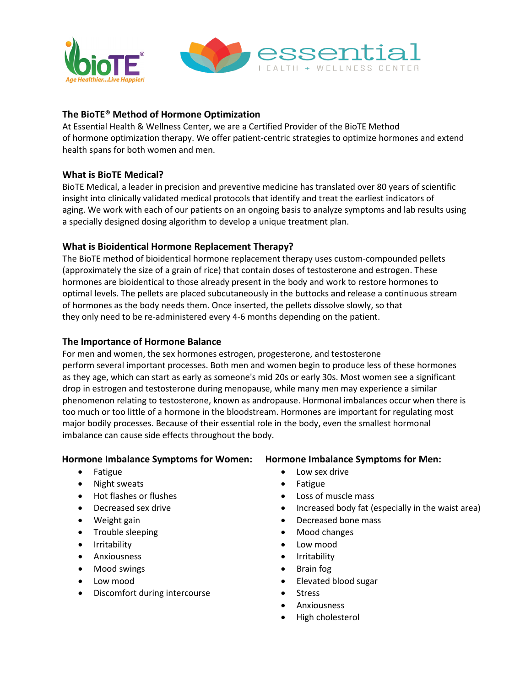

# **The BioTE® Method of Hormone Optimization**

At Essential Health & Wellness Center, we are a Certified Provider of the BioTE Method of hormone optimization therapy. We offer patient-centric strategies to optimize hormones and extend health spans for both women and men.

## **What is BioTE Medical?**

BioTE Medical, a leader in precision and preventive medicine has translated over 80 years of scientific insight into clinically validated medical protocols that identify and treat the earliest indicators of aging. We work with each of our patients on an ongoing basis to analyze symptoms and lab results using a specially designed dosing algorithm to develop a unique treatment plan.

## **What is Bioidentical Hormone Replacement Therapy?**

The BioTE method of bioidentical hormone replacement therapy uses custom-compounded pellets (approximately the size of a grain of rice) that contain doses of testosterone and estrogen. These hormones are bioidentical to those already present in the body and work to restore hormones to optimal levels. The pellets are placed subcutaneously in the buttocks and release a continuous stream of hormones as the body needs them. Once inserted, the pellets dissolve slowly, so that they only need to be re-administered every 4-6 months depending on the patient.

### **The Importance of Hormone Balance**

For men and women, the sex hormones estrogen, progesterone, and testosterone perform several important processes. Both men and women begin to produce less of these hormones as they age, which can start as early as someone's mid 20s or early 30s. Most women see a significant drop in estrogen and testosterone during menopause, while many men may experience a similar phenomenon relating to testosterone, known as andropause. Hormonal imbalances occur when there is too much or too little of a hormone in the bloodstream. Hormones are important for regulating most major bodily processes. Because of their essential role in the body, even the smallest hormonal imbalance can cause side effects throughout the body.

#### **Hormone Imbalance Symptoms for Women:**

- Fatigue
- Night sweats
- Hot flashes or flushes
- Decreased sex drive
- Weight gain
- Trouble sleeping
- Irritability
- Anxiousness
- Mood swings
- Low mood
- Discomfort during intercourse

**Hormone Imbalance Symptoms for Men:**

- Low sex drive
- Fatigue
- Loss of muscle mass
- Increased body fat (especially in the waist area)
- Decreased bone mass
- Mood changes
- Low mood
- Irritability
- Brain fog
- Elevated blood sugar
- Stress
- Anxiousness
- High cholesterol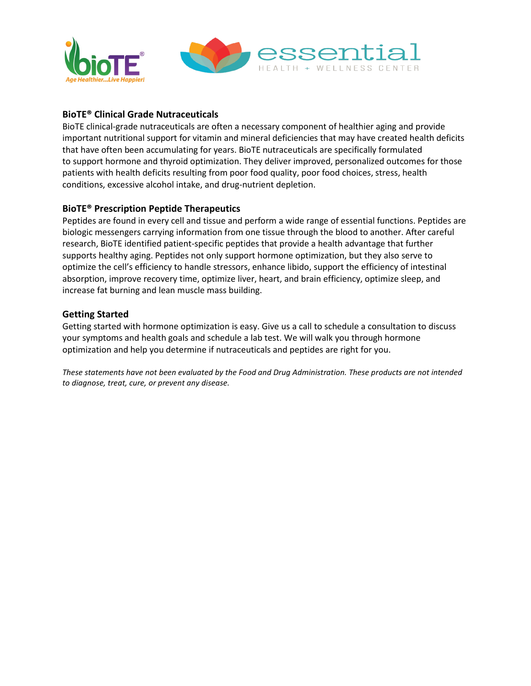

# **BioTE® Clinical Grade Nutraceuticals**

BioTE clinical-grade nutraceuticals are often a necessary component of healthier aging and provide important nutritional support for vitamin and mineral deficiencies that may have created health deficits that have often been accumulating for years. BioTE nutraceuticals are specifically formulated to support hormone and thyroid optimization. They deliver improved, personalized outcomes for those patients with health deficits resulting from poor food quality, poor food choices, stress, health conditions, excessive alcohol intake, and drug-nutrient depletion.

# **BioTE® Prescription Peptide Therapeutics**

Peptides are found in every cell and tissue and perform a wide range of essential functions. Peptides are biologic messengers carrying information from one tissue through the blood to another. After careful research, BioTE identified patient-specific peptides that provide a health advantage that further supports healthy aging. Peptides not only support hormone optimization, but they also serve to optimize the cell's efficiency to handle stressors, enhance libido, support the efficiency of intestinal absorption, improve recovery time, optimize liver, heart, and brain efficiency, optimize sleep, and increase fat burning and lean muscle mass building.

# **Getting Started**

Getting started with hormone optimization is easy. Give us a call to schedule a consultation to discuss your symptoms and health goals and schedule a lab test. We will walk you through hormone optimization and help you determine if nutraceuticals and peptides are right for you.

*These statements have not been evaluated by the Food and Drug Administration. These products are not intended to diagnose, treat, cure, or prevent any disease.*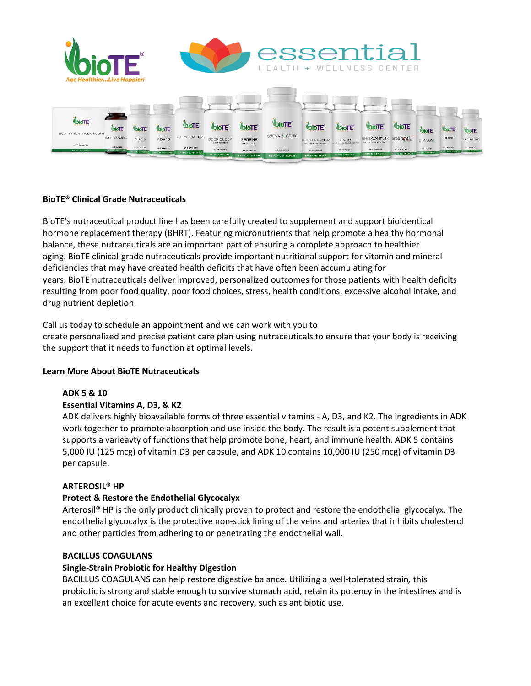

# **BioTE® Clinical Grade Nutraceuticals**

BioTE's nutraceutical product line has been carefully created to supplement and support bioidentical hormone replacement therapy (BHRT). Featuring micronutrients that help promote a healthy hormonal balance, these nutraceuticals are an important part of ensuring a complete approach to healthier aging. BioTE clinical-grade nutraceuticals provide important nutritional support for vitamin and mineral deficiencies that may have created health deficits that have often been accumulating for years. BioTE nutraceuticals deliver improved, personalized outcomes for those patients with health deficits resulting from poor food quality, poor food choices, stress, health conditions, excessive alcohol intake, and drug nutrient depletion.

Call us today to schedule an appointment and we can work with you to create personalized and precise patient care plan using nutraceuticals to ensure that your body is receiving the support that it needs to function at optimal levels.

## **Learn More About BioTE Nutraceuticals**

## **ADK 5 & 10**

## **Essential Vitamins A, D3, & K2**

ADK delivers highly bioavailable forms of three essential vitamins - A, D3, and K2. The ingredients in ADK work together to promote absorption and use inside the body. The result is a potent supplement that supports a varieavty of functions that help promote bone, heart, and immune health. ADK 5 contains 5,000 IU (125 mcg) of vitamin D3 per capsule, and ADK 10 contains 10,000 IU (250 mcg) of vitamin D3 per capsule.

## **ARTEROSIL® HP**

## **Protect & Restore the Endothelial Glycocalyx**

Arterosil® HP is the only product clinically proven to protect and restore the endothelial glycocalyx. The endothelial glycocalyx is the protective non-stick lining of the veins and arteries that inhibits cholesterol and other particles from adhering to or penetrating the endothelial wall.

#### **BACILLUS COAGULANS**

#### **Single-Strain Probiotic for Healthy Digestion**

BACILLUS COAGULANS can help restore digestive balance. Utilizing a well-tolerated strain*,* this probiotic is strong and stable enough to survive stomach acid, retain its potency in the intestines and is an excellent choice for acute events and recovery, such as antibiotic use.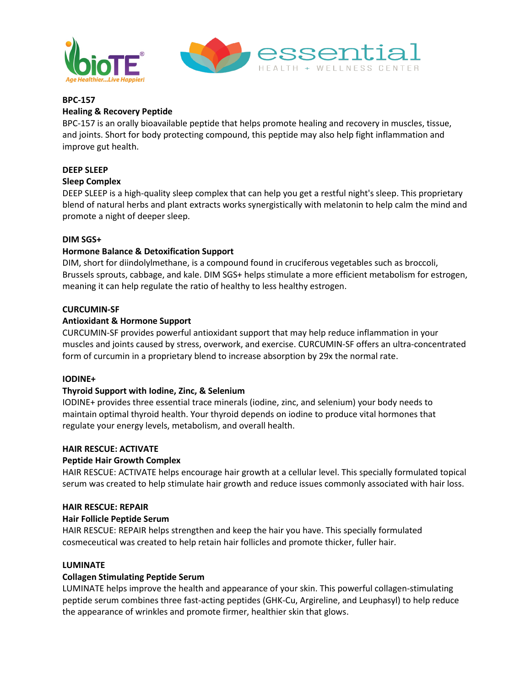



## **BPC-157**

## **Healing & Recovery Peptide**

BPC-157 is an orally bioavailable peptide that helps promote healing and recovery in muscles, tissue, and joints. Short for body protecting compound, this peptide may also help fight inflammation and improve gut health.

## **DEEP SLEEP**

## **Sleep Complex**

DEEP SLEEP is a high-quality sleep complex that can help you get a restful night's sleep. This proprietary blend of natural herbs and plant extracts works synergistically with melatonin to help calm the mind and promote a night of deeper sleep.

#### **DIM SGS+**

## **Hormone Balance & Detoxification Support**

DIM, short for diindolylmethane, is a compound found in cruciferous vegetables such as broccoli, Brussels sprouts, cabbage, and kale. DIM SGS+ helps stimulate a more efficient metabolism for estrogen, meaning it can help regulate the ratio of healthy to less healthy estrogen.

#### **CURCUMIN-SF**

## **Antioxidant & Hormone Support**

CURCUMIN-SF provides powerful antioxidant support that may help reduce inflammation in your muscles and joints caused by stress, overwork, and exercise. CURCUMIN-SF offers an ultra-concentrated form of curcumin in a proprietary blend to increase absorption by 29x the normal rate.

#### **IODINE+**

#### **Thyroid Support with Iodine, Zinc, & Selenium**

IODINE+ provides three essential trace minerals (iodine, zinc, and selenium) your body needs to maintain optimal thyroid health. Your thyroid depends on iodine to produce vital hormones that regulate your energy levels, metabolism, and overall health.

#### **HAIR RESCUE: ACTIVATE**

#### **Peptide Hair Growth Complex**

HAIR RESCUE: ACTIVATE helps encourage hair growth at a cellular level. This specially formulated topical serum was created to help stimulate hair growth and reduce issues commonly associated with hair loss.

#### **HAIR RESCUE: REPAIR**

#### **Hair Follicle Peptide Serum**

HAIR RESCUE: REPAIR helps strengthen and keep the hair you have. This specially formulated cosmeceutical was created to help retain hair follicles and promote thicker, fuller hair.

#### **LUMINATE**

#### **Collagen Stimulating Peptide Serum**

LUMINATE helps improve the health and appearance of your skin. This powerful collagen-stimulating peptide serum combines three fast-acting peptides (GHK-Cu, Argireline, and Leuphasyl) to help reduce the appearance of wrinkles and promote firmer, healthier skin that glows.